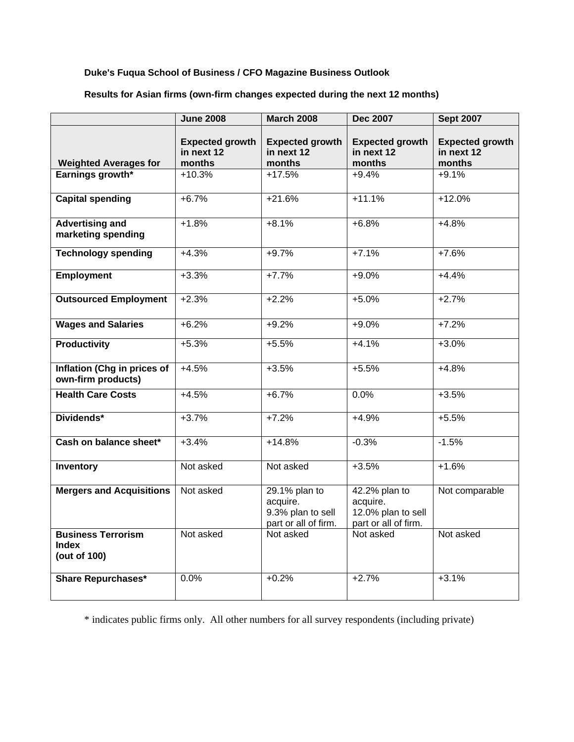### **Duke's Fuqua School of Business / CFO Magazine Business Outlook**

|                                                           | <b>June 2008</b>                               | <b>March 2008</b>                                                      | <b>Dec 2007</b>                                                         | <b>Sept 2007</b>                               |
|-----------------------------------------------------------|------------------------------------------------|------------------------------------------------------------------------|-------------------------------------------------------------------------|------------------------------------------------|
| <b>Weighted Averages for</b>                              | <b>Expected growth</b><br>in next 12<br>months | <b>Expected growth</b><br>in next 12<br>months                         | <b>Expected growth</b><br>in next 12<br>months                          | <b>Expected growth</b><br>in next 12<br>months |
| Earnings growth*                                          | $+10.3%$                                       | $+17.5%$                                                               | $+9.4%$                                                                 | $+9.1%$                                        |
|                                                           |                                                |                                                                        |                                                                         |                                                |
| <b>Capital spending</b>                                   | $+6.7%$                                        | $+21.6%$                                                               | $+11.1%$                                                                | $+12.0%$                                       |
| <b>Advertising and</b><br>marketing spending              | $+1.8%$                                        | $+8.1%$                                                                | $+6.8%$                                                                 | $+4.8%$                                        |
| <b>Technology spending</b>                                | $+4.3%$                                        | $+9.7%$                                                                | $+7.1%$                                                                 | $+7.6%$                                        |
| <b>Employment</b>                                         | $+3.3%$                                        | $+7.7%$                                                                | $+9.0%$                                                                 | $+4.4%$                                        |
| <b>Outsourced Employment</b>                              | $+2.3%$                                        | $+2.2%$                                                                | $+5.0%$                                                                 | $+2.7%$                                        |
| <b>Wages and Salaries</b>                                 | $+6.2%$                                        | $+9.2%$                                                                | $+9.0%$                                                                 | $+7.2%$                                        |
| <b>Productivity</b>                                       | $+5.3%$                                        | $+5.5%$                                                                | $+4.1%$                                                                 | $+3.0%$                                        |
| Inflation (Chg in prices of<br>own-firm products)         | $+4.5%$                                        | $+3.5%$                                                                | $+5.5%$                                                                 | $+4.8%$                                        |
| <b>Health Care Costs</b>                                  | $+4.5%$                                        | $+6.7%$                                                                | 0.0%                                                                    | $+3.5%$                                        |
| Dividends*                                                | $+3.7%$                                        | $+7.2%$                                                                | $+4.9%$                                                                 | $+5.5%$                                        |
| Cash on balance sheet*                                    | $+3.4%$                                        | $+14.8%$                                                               | $-0.3%$                                                                 | $-1.5%$                                        |
| Inventory                                                 | Not asked                                      | Not asked                                                              | $+3.5%$                                                                 | $+1.6%$                                        |
| <b>Mergers and Acquisitions</b>                           | Not asked                                      | 29.1% plan to<br>acquire.<br>9.3% plan to sell<br>part or all of firm. | 42.2% plan to<br>acquire.<br>12.0% plan to sell<br>part or all of firm. | Not comparable                                 |
| <b>Business Terrorism</b><br><b>Index</b><br>(out of 100) | Not asked                                      | Not asked                                                              | Not asked                                                               | Not asked                                      |
| <b>Share Repurchases*</b>                                 | 0.0%                                           | $+0.2%$                                                                | $+2.7%$                                                                 | $+3.1%$                                        |

# **Results for Asian firms (own-firm changes expected during the next 12 months)**

\* indicates public firms only. All other numbers for all survey respondents (including private)